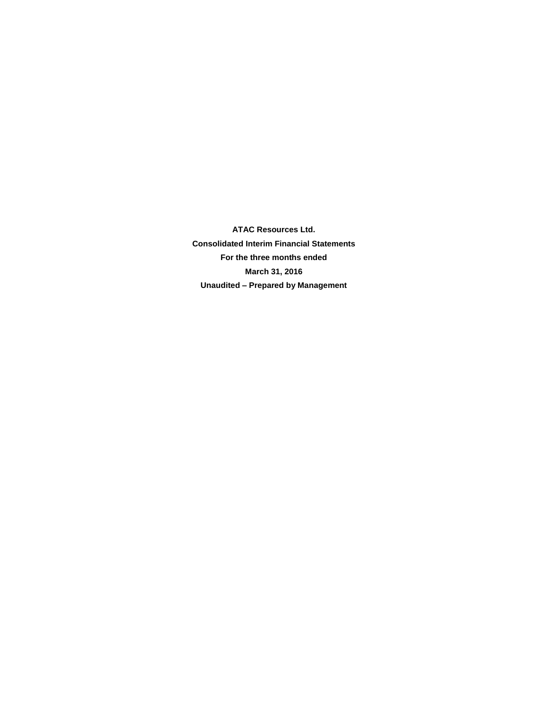**ATAC Resources Ltd. Consolidated Interim Financial Statements For the three months ended March 31, 2016 Unaudited – Prepared by Management**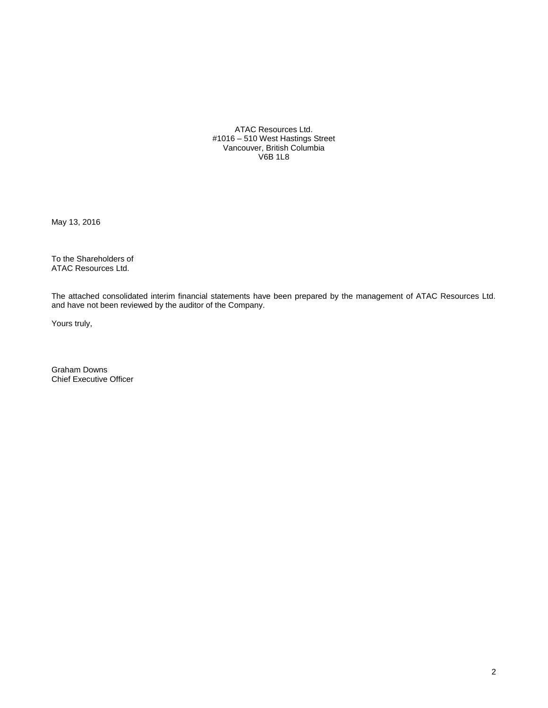ATAC Resources Ltd. #1016 – 510 West Hastings Street Vancouver, British Columbia V6B 1L8

May 13, 2016

To the Shareholders of ATAC Resources Ltd.

The attached consolidated interim financial statements have been prepared by the management of ATAC Resources Ltd. and have not been reviewed by the auditor of the Company.

Yours truly,

Graham Downs Chief Executive Officer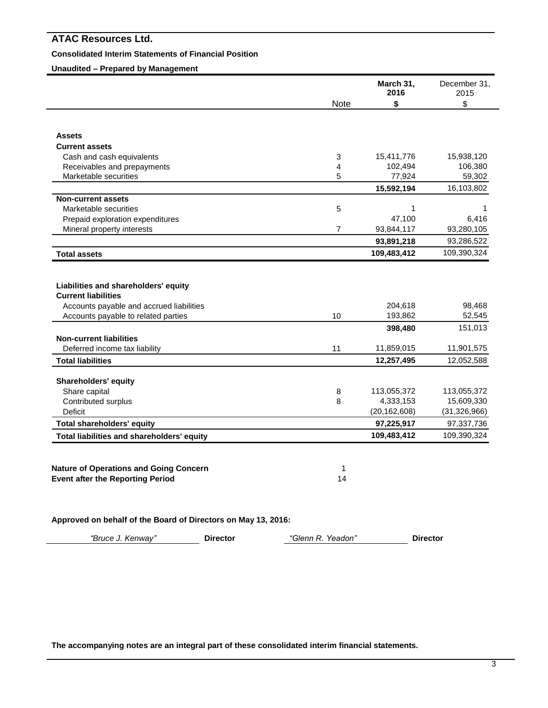### **Consolidated Interim Statements of Financial Position**

# **Unaudited – Prepared by Management**

|                                               |                | March 31,<br>2016 | December 31,<br>2015 |
|-----------------------------------------------|----------------|-------------------|----------------------|
|                                               | Note           | \$                | \$                   |
|                                               |                |                   |                      |
| <b>Assets</b>                                 |                |                   |                      |
| <b>Current assets</b>                         |                |                   |                      |
| Cash and cash equivalents                     | 3              | 15,411,776        | 15,938,120           |
| Receivables and prepayments                   | 4              | 102,494           | 106,380              |
| Marketable securities                         | 5              | 77,924            | 59,302               |
|                                               |                | 15,592,194        | 16,103,802           |
| <b>Non-current assets</b>                     |                |                   |                      |
| Marketable securities                         | 5              | 1                 | 1                    |
| Prepaid exploration expenditures              |                | 47,100            | 6,416                |
| Mineral property interests                    | $\overline{7}$ | 93,844,117        | 93,280,105           |
|                                               |                | 93,891,218        | 93,286,522           |
| <b>Total assets</b>                           |                | 109,483,412       | 109,390,324          |
| Liabilities and shareholders' equity          |                |                   |                      |
| <b>Current liabilities</b>                    |                |                   |                      |
| Accounts payable and accrued liabilities      |                | 204,618           | 98,468               |
| Accounts payable to related parties           | 10             | 193,862           | 52,545               |
|                                               |                | 398,480           | 151,013              |
| <b>Non-current liabilities</b>                |                |                   |                      |
| Deferred income tax liability                 | 11             | 11,859,015        | 11,901,575           |
| <b>Total liabilities</b>                      |                | 12,257,495        | 12,052,588           |
| <b>Shareholders' equity</b>                   |                |                   |                      |
| Share capital                                 | 8              | 113,055,372       | 113,055,372          |
| Contributed surplus                           | 8              | 4,333,153         | 15,609,330           |
| Deficit                                       |                | (20, 162, 608)    | (31, 326, 966)       |
| <b>Total shareholders' equity</b>             |                | 97,225,917        | 97,337,736           |
|                                               |                | 109,483,412       | 109,390,324          |
| Total liabilities and shareholders' equity    |                |                   |                      |
|                                               |                |                   |                      |
| <b>Nature of Operations and Going Concern</b> | 1              |                   |                      |

**Approved on behalf of the Board of Directors on May 13, 2016:**

*"Bruce J. Kenway"* **Director** *"Glenn R. Yeadon"* **Director**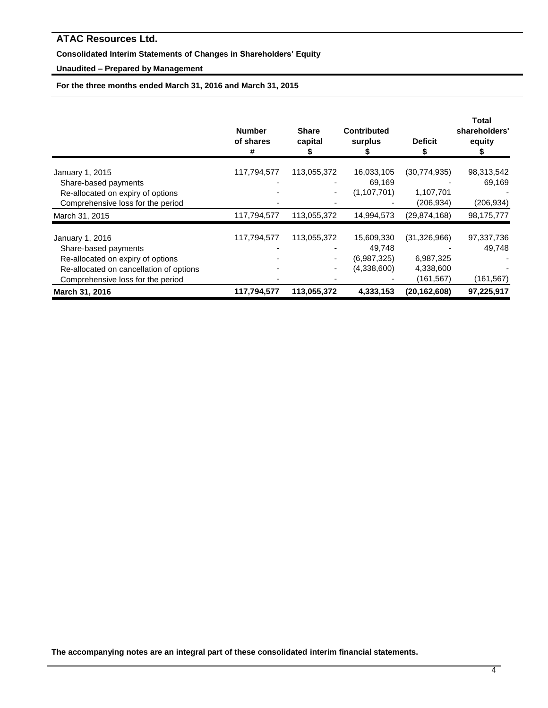# **Consolidated Interim Statements of Changes in Shareholders' Equity**

# **Unaudited – Prepared by Management**

**For the three months ended March 31, 2016 and March 31, 2015**

|                                         | <b>Number</b><br>of shares<br># | <b>Share</b><br>capital | <b>Contributed</b><br>surplus | <b>Deficit</b> | Total<br>shareholders'<br>equity |
|-----------------------------------------|---------------------------------|-------------------------|-------------------------------|----------------|----------------------------------|
| January 1, 2015                         | 117,794,577                     | 113,055,372             | 16,033,105                    | (30,774,935)   | 98,313,542                       |
| Share-based payments                    |                                 |                         | 69,169                        |                | 69,169                           |
| Re-allocated on expiry of options       |                                 |                         | (1,107,701)                   | 1,107,701      |                                  |
| Comprehensive loss for the period       |                                 |                         |                               | (206, 934)     | (206, 934)                       |
| March 31, 2015                          | 117,794,577                     | 113,055,372             | 14,994,573                    | (29, 874, 168) | 98,175,777                       |
| January 1, 2016                         | 117,794,577                     | 113,055,372             | 15,609,330                    | (31, 326, 966) | 97,337,736                       |
| Share-based payments                    |                                 |                         | 49,748                        |                | 49,748                           |
| Re-allocated on expiry of options       |                                 |                         | (6,987,325)                   | 6,987,325      |                                  |
| Re-allocated on cancellation of options |                                 |                         | (4,338,600)                   | 4,338,600      |                                  |
| Comprehensive loss for the period       |                                 |                         |                               | (161, 567)     | (161,567)                        |
| March 31, 2016                          | 117,794,577                     | 113,055,372             | 4,333,153                     | (20, 162, 608) | 97,225,917                       |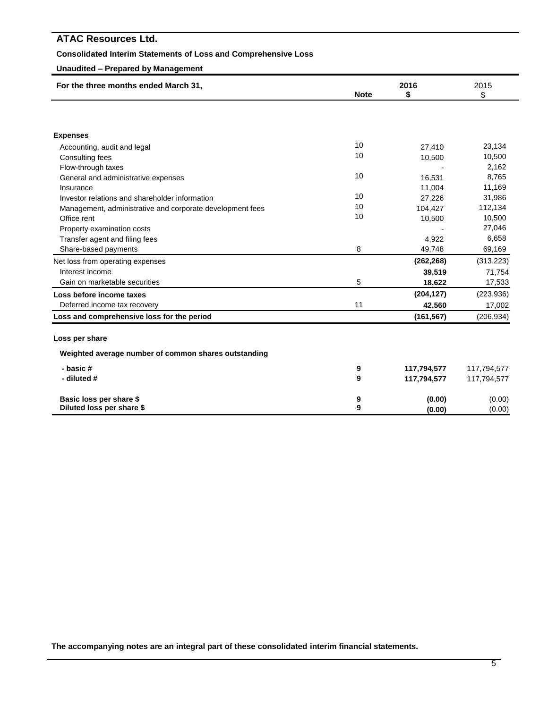### **Consolidated Interim Statements of Loss and Comprehensive Loss**

### **Unaudited – Prepared by Management**

| For the three months ended March 31,                      |             | 2016        |             |
|-----------------------------------------------------------|-------------|-------------|-------------|
|                                                           | <b>Note</b> | \$          | \$          |
|                                                           |             |             |             |
|                                                           |             |             |             |
| <b>Expenses</b>                                           |             |             |             |
| Accounting, audit and legal                               | 10          | 27,410      | 23,134      |
| Consulting fees                                           | 10          | 10,500      | 10,500      |
| Flow-through taxes                                        |             |             | 2,162       |
| General and administrative expenses                       | 10          | 16,531      | 8,765       |
| Insurance                                                 |             | 11,004      | 11,169      |
| Investor relations and shareholder information            | 10          | 27,226      | 31,986      |
| Management, administrative and corporate development fees | 10          | 104,427     | 112,134     |
| Office rent                                               | 10          | 10,500      | 10,500      |
| Property examination costs                                |             |             | 27,046      |
| Transfer agent and filing fees                            |             | 4,922       | 6,658       |
| Share-based payments                                      | 8           | 49,748      | 69,169      |
| Net loss from operating expenses                          |             | (262, 268)  | (313, 223)  |
| Interest income                                           |             | 39,519      | 71,754      |
| Gain on marketable securities                             | 5           | 18,622      | 17,533      |
| Loss before income taxes                                  |             | (204, 127)  | (223, 936)  |
| Deferred income tax recovery                              | 11          | 42,560      | 17,002      |
| Loss and comprehensive loss for the period                |             | (161, 567)  | (206, 934)  |
| Loss per share                                            |             |             |             |
| Weighted average number of common shares outstanding      |             |             |             |
| - basic#                                                  | 9           |             |             |
| - diluted #                                               | 9           | 117,794,577 | 117,794,577 |
|                                                           |             | 117,794,577 | 117,794,577 |
| Basic loss per share \$                                   | 9           | (0.00)      | (0.00)      |
| Diluted loss per share \$                                 | 9           | (0.00)      | (0.00)      |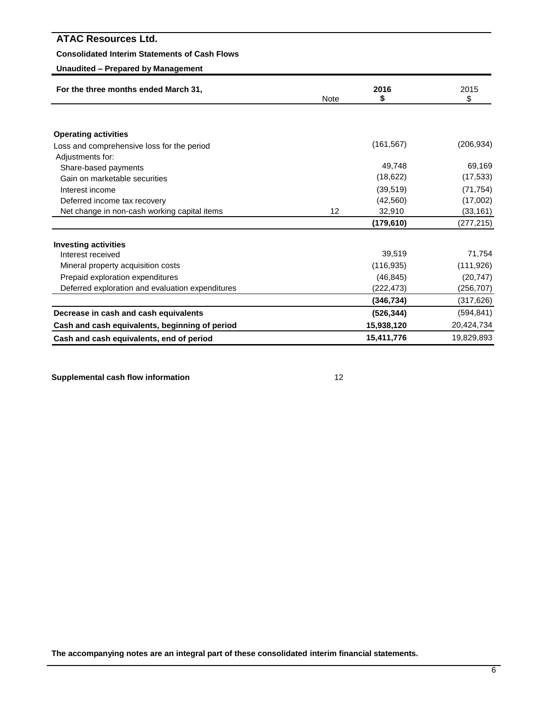### **Consolidated Interim Statements of Cash Flows**

### **Unaudited – Prepared by Management**

| For the three months ended March 31,             |             | 2016       | 2015       |
|--------------------------------------------------|-------------|------------|------------|
|                                                  | <b>Note</b> | \$         | \$         |
|                                                  |             |            |            |
| <b>Operating activities</b>                      |             |            |            |
| Loss and comprehensive loss for the period       |             | (161, 567) | (206,934)  |
| Adjustments for:                                 |             |            |            |
| Share-based payments                             |             | 49,748     | 69,169     |
| Gain on marketable securities                    |             | (18, 622)  | (17, 533)  |
| Interest income                                  |             | (39, 519)  | (71, 754)  |
| Deferred income tax recovery                     |             | (42, 560)  | (17,002)   |
| Net change in non-cash working capital items     | 12          | 32,910     | (33, 161)  |
|                                                  |             | (179,610)  | (277, 215) |
| <b>Investing activities</b>                      |             |            |            |
| Interest received                                |             | 39,519     | 71,754     |
| Mineral property acquisition costs               |             | (116, 935) | (111, 926) |
| Prepaid exploration expenditures                 |             | (46, 845)  | (20, 747)  |
| Deferred exploration and evaluation expenditures |             | (222,473)  | (256,707)  |
|                                                  |             | (346, 734) | (317,626)  |
| Decrease in cash and cash equivalents            |             | (526, 344) | (594, 841) |
| Cash and cash equivalents, beginning of period   |             | 15,938,120 | 20,424,734 |
| Cash and cash equivalents, end of period         |             | 15,411,776 | 19,829,893 |

**Supplemental cash flow information** 12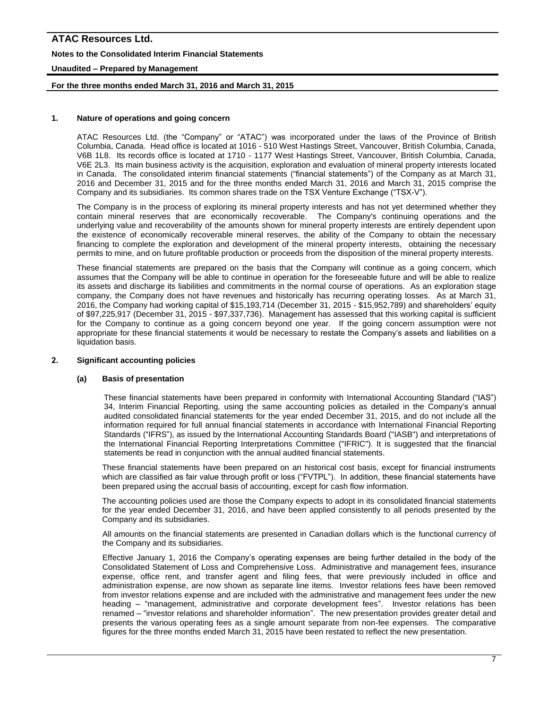# **ATAC Resources Ltd. Notes to the Consolidated Interim Financial Statements Unaudited – Prepared by Management**

### **For the three months ended March 31, 2016 and March 31, 2015**

### **1. Nature of operations and going concern**

ATAC Resources Ltd. (the "Company" or "ATAC") was incorporated under the laws of the Province of British Columbia, Canada. Head office is located at 1016 - 510 West Hastings Street, Vancouver, British Columbia, Canada, V6B 1L8. Its records office is located at 1710 - 1177 West Hastings Street, Vancouver, British Columbia, Canada, V6E 2L3. Its main business activity is the acquisition, exploration and evaluation of mineral property interests located in Canada. The consolidated interim financial statements ("financial statements") of the Company as at March 31, 2016 and December 31, 2015 and for the three months ended March 31, 2016 and March 31, 2015 comprise the Company and its subsidiaries. Its common shares trade on the TSX Venture Exchange ("TSX-V").

The Company is in the process of exploring its mineral property interests and has not yet determined whether they contain mineral reserves that are economically recoverable. The Company's continuing operations and the underlying value and recoverability of the amounts shown for mineral property interests are entirely dependent upon the existence of economically recoverable mineral reserves, the ability of the Company to obtain the necessary financing to complete the exploration and development of the mineral property interests, obtaining the necessary permits to mine, and on future profitable production or proceeds from the disposition of the mineral property interests.

These financial statements are prepared on the basis that the Company will continue as a going concern, which assumes that the Company will be able to continue in operation for the foreseeable future and will be able to realize its assets and discharge its liabilities and commitments in the normal course of operations. As an exploration stage company, the Company does not have revenues and historically has recurring operating losses. As at March 31, 2016, the Company had working capital of \$15,193,714 (December 31, 2015 - \$15,952,789) and shareholders' equity of \$97,225,917 (December 31, 2015 - \$97,337,736). Management has assessed that this working capital is sufficient for the Company to continue as a going concern beyond one year. If the going concern assumption were not appropriate for these financial statements it would be necessary to restate the Company's assets and liabilities on a liquidation basis.

### **2. Significant accounting policies**

### **(a) Basis of presentation**

These financial statements have been prepared in conformity with International Accounting Standard ("IAS") 34, Interim Financial Reporting*,* using the same accounting policies as detailed in the Company's annual audited consolidated financial statements for the year ended December 31, 2015, and do not include all the information required for full annual financial statements in accordance with International Financial Reporting Standards ("IFRS"), as issued by the International Accounting Standards Board ("IASB") and interpretations of the International Financial Reporting Interpretations Committee ("IFRIC"). It is suggested that the financial statements be read in conjunction with the annual audited financial statements.

These financial statements have been prepared on an historical cost basis, except for financial instruments which are classified as fair value through profit or loss ("FVTPL"). In addition, these financial statements have been prepared using the accrual basis of accounting, except for cash flow information.

The accounting policies used are those the Company expects to adopt in its consolidated financial statements for the year ended December 31, 2016, and have been applied consistently to all periods presented by the Company and its subsidiaries.

All amounts on the financial statements are presented in Canadian dollars which is the functional currency of the Company and its subsidiaries.

Effective January 1, 2016 the Company's operating expenses are being further detailed in the body of the Consolidated Statement of Loss and Comprehensive Loss. Administrative and management fees, insurance expense, office rent, and transfer agent and filing fees, that were previously included in office and administration expense, are now shown as separate line items. Investor relations fees have been removed from investor relations expense and are included with the administrative and management fees under the new heading – "management, administrative and corporate development fees". Investor relations has been renamed – "investor relations and shareholder information". The new presentation provides greater detail and presents the various operating fees as a single amount separate from non-fee expenses. The comparative figures for the three months ended March 31, 2015 have been restated to reflect the new presentation.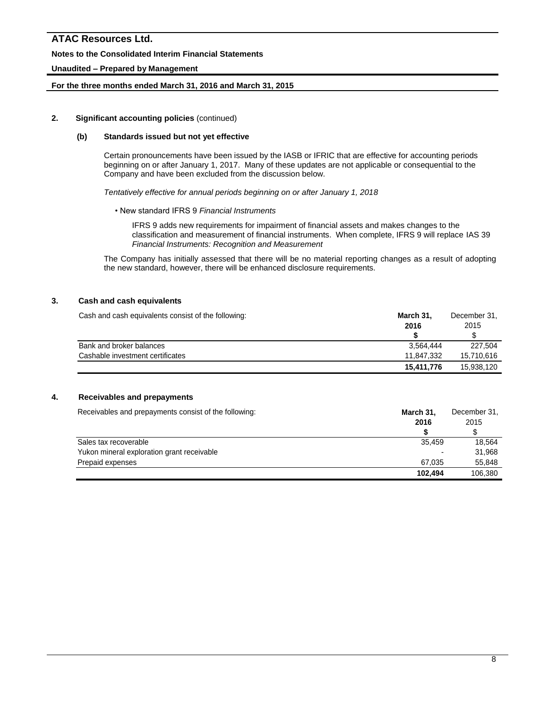# **ATAC Resources Ltd. Notes to the Consolidated Interim Financial Statements Unaudited – Prepared by Management**

### **For the three months ended March 31, 2016 and March 31, 2015**

### **2. Significant accounting policies** (continued)

### **(b) Standards issued but not yet effective**

Certain pronouncements have been issued by the IASB or IFRIC that are effective for accounting periods beginning on or after January 1, 2017. Many of these updates are not applicable or consequential to the Company and have been excluded from the discussion below.

*Tentatively effective for annual periods beginning on or after January 1, 2018*

• New standard IFRS 9 *Financial Instruments*

IFRS 9 adds new requirements for impairment of financial assets and makes changes to the classification and measurement of financial instruments. When complete, IFRS 9 will replace IAS 39 *Financial Instruments: Recognition and Measurement*

The Company has initially assessed that there will be no material reporting changes as a result of adopting the new standard, however, there will be enhanced disclosure requirements.

### **3. Cash and cash equivalents**

| Cash and cash equivalents consist of the following: | March 31,  | December 31, |  |
|-----------------------------------------------------|------------|--------------|--|
|                                                     | 2016       | 2015         |  |
|                                                     |            |              |  |
| Bank and broker balances                            | 3.564.444  | 227.504      |  |
| Cashable investment certificates                    | 11.847.332 | 15.710.616   |  |
|                                                     | 15.411.776 | 15.938.120   |  |

### **4. Receivables and prepayments**

| Receivables and prepayments consist of the following: | March 31, | December 31, |  |
|-------------------------------------------------------|-----------|--------------|--|
|                                                       | 2016      | 2015         |  |
|                                                       |           |              |  |
| Sales tax recoverable                                 | 35.459    | 18.564       |  |
| Yukon mineral exploration grant receivable            | ۰         | 31.968       |  |
| Prepaid expenses                                      | 67.035    | 55.848       |  |
|                                                       | 102.494   | 106.380      |  |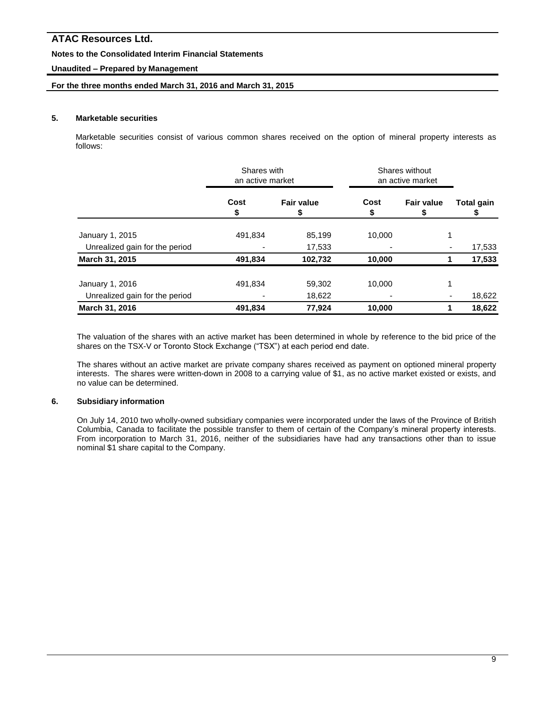### **Notes to the Consolidated Interim Financial Statements**

### **Unaudited – Prepared by Management**

### **For the three months ended March 31, 2016 and March 31, 2015**

### **5. Marketable securities**

Marketable securities consist of various common shares received on the option of mineral property interests as follows:

|                                | Shares with<br>an active market |                   | Shares without<br>an active market |                        |                   |  |
|--------------------------------|---------------------------------|-------------------|------------------------------------|------------------------|-------------------|--|
|                                | Cost<br>æ.                      | <b>Fair value</b> | Cost<br>S                          | <b>Fair value</b><br>Ъ | <b>Total gain</b> |  |
| January 1, 2015                | 491,834                         | 85,199            | 10,000                             |                        | 1                 |  |
| Unrealized gain for the period |                                 | 17,533            |                                    |                        | 17,533            |  |
| March 31, 2015                 | 491,834                         | 102,732           | 10,000                             |                        | 17,533            |  |
| January 1, 2016                | 491,834                         | 59,302            | 10,000                             |                        | 1                 |  |
| Unrealized gain for the period |                                 | 18,622            |                                    |                        | 18,622<br>٠       |  |
| March 31, 2016                 | 491,834                         | 77,924            | 10,000                             |                        | 18,622            |  |

The valuation of the shares with an active market has been determined in whole by reference to the bid price of the shares on the TSX-V or Toronto Stock Exchange ("TSX") at each period end date.

The shares without an active market are private company shares received as payment on optioned mineral property interests. The shares were written-down in 2008 to a carrying value of \$1, as no active market existed or exists, and no value can be determined.

### **6. Subsidiary information**

On July 14, 2010 two wholly-owned subsidiary companies were incorporated under the laws of the Province of British Columbia, Canada to facilitate the possible transfer to them of certain of the Company's mineral property interests. From incorporation to March 31, 2016, neither of the subsidiaries have had any transactions other than to issue nominal \$1 share capital to the Company.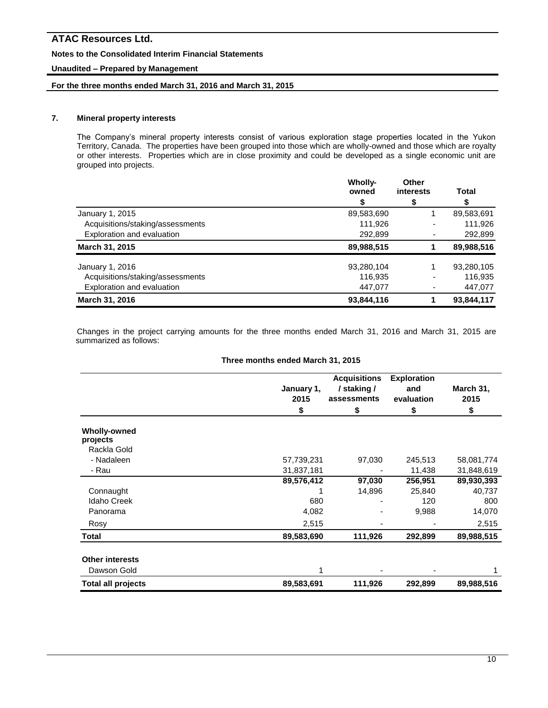### **Notes to the Consolidated Interim Financial Statements**

### **Unaudited – Prepared by Management**

### **For the three months ended March 31, 2016 and March 31, 2015**

### **7. Mineral property interests**

The Company's mineral property interests consist of various exploration stage properties located in the Yukon Territory, Canada. The properties have been grouped into those which are wholly-owned and those which are royalty or other interests. Properties which are in close proximity and could be developed as a single economic unit are grouped into projects.

|                                  | <b>Wholly-</b><br>owned | Other<br>interests | Total      |
|----------------------------------|-------------------------|--------------------|------------|
|                                  |                         | \$                 |            |
| January 1, 2015                  | 89,583,690              |                    | 89,583,691 |
| Acquisitions/staking/assessments | 111.926                 |                    | 111,926    |
| Exploration and evaluation       | 292,899                 |                    | 292,899    |
| March 31, 2015                   | 89,988,515              |                    | 89,988,516 |
| January 1, 2016                  | 93,280,104              |                    | 93,280,105 |
| Acquisitions/staking/assessments | 116,935                 |                    | 116,935    |
| Exploration and evaluation       | 447,077                 |                    | 447,077    |
| March 31, 2016                   | 93,844,116              |                    | 93,844,117 |

Changes in the project carrying amounts for the three months ended March 31, 2016 and March 31, 2015 are summarized as follows:

#### **Three months ended March 31, 2015**

|                                                | January 1,<br>2015 | <b>Acquisitions</b><br>/ staking /<br>assessments | <b>Exploration</b><br>and<br>evaluation | March 31,<br>2015 |
|------------------------------------------------|--------------------|---------------------------------------------------|-----------------------------------------|-------------------|
|                                                | \$                 | \$                                                | \$                                      | \$                |
| <b>Wholly-owned</b><br>projects<br>Rackla Gold |                    |                                                   |                                         |                   |
| - Nadaleen                                     | 57,739,231         | 97,030                                            | 245,513                                 | 58,081,774        |
| - Rau                                          | 31,837,181         |                                                   | 11,438                                  | 31,848,619        |
|                                                | 89,576,412         | 97,030                                            | 256,951                                 | 89,930,393        |
| Connaught                                      |                    | 14,896                                            | 25,840                                  | 40,737            |
| <b>Idaho Creek</b>                             | 680                |                                                   | 120                                     | 800               |
| Panorama                                       | 4,082              |                                                   | 9,988                                   | 14,070            |
| Rosy                                           | 2,515              |                                                   |                                         | 2,515             |
| Total                                          | 89,583,690         | 111,926                                           | 292,899                                 | 89,988,515        |
| <b>Other interests</b>                         |                    |                                                   |                                         |                   |
| Dawson Gold                                    |                    |                                                   |                                         | 1                 |
| <b>Total all projects</b>                      | 89,583,691         | 111,926                                           | 292,899                                 | 89,988,516        |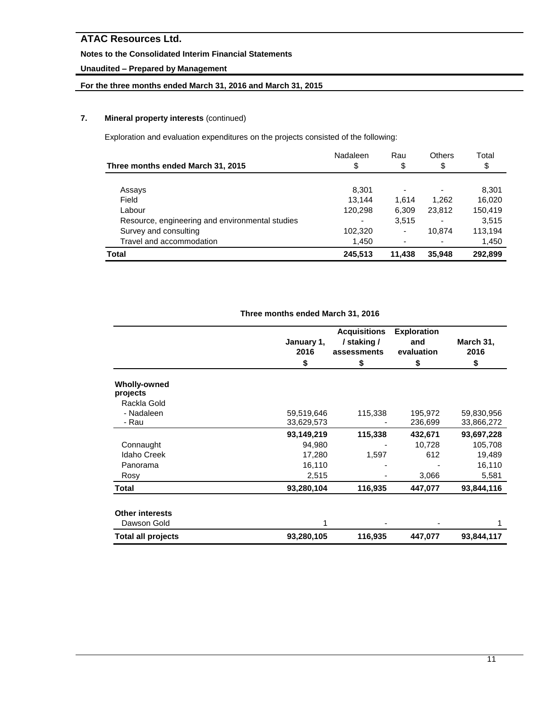### **Notes to the Consolidated Interim Financial Statements**

# **Unaudited – Prepared by Management**

## **For the three months ended March 31, 2016 and March 31, 2015**

### **7. Mineral property interests** (continued)

Exploration and evaluation expenditures on the projects consisted of the following:

|                                                 | Nadaleen | Rau    | <b>Others</b> | Total   |
|-------------------------------------------------|----------|--------|---------------|---------|
| Three months ended March 31, 2015               | \$       | \$     | \$            | \$      |
|                                                 |          |        |               |         |
| Assays                                          | 8,301    |        |               | 8,301   |
| Field                                           | 13.144   | 1.614  | 1.262         | 16,020  |
| Labour                                          | 120,298  | 6,309  | 23,812        | 150,419 |
| Resource, engineering and environmental studies |          | 3,515  |               | 3.515   |
| Survey and consulting                           | 102,320  | ٠      | 10.874        | 113,194 |
| Travel and accommodation                        | 1,450    |        |               | 1,450   |
| Total                                           | 245,513  | 11,438 | 35,948        | 292,899 |

|                                 | January 1,<br>2016<br>\$ | <b>Acquisitions</b><br>/ staking /<br>assessments<br>\$ | <b>Exploration</b><br>and<br>evaluation<br>\$ | March 31,<br>2016<br>\$ |
|---------------------------------|--------------------------|---------------------------------------------------------|-----------------------------------------------|-------------------------|
| <b>Wholly-owned</b><br>projects |                          |                                                         |                                               |                         |
| Rackla Gold                     |                          |                                                         |                                               |                         |
| - Nadaleen                      | 59,519,646               | 115,338                                                 | 195,972                                       | 59,830,956              |
| - Rau                           | 33,629,573               |                                                         | 236,699                                       | 33,866,272              |
|                                 | 93,149,219               | 115,338                                                 | 432,671                                       | 93,697,228              |
| Connaught                       | 94,980                   |                                                         | 10,728                                        | 105,708                 |
| <b>Idaho Creek</b>              | 17,280                   | 1,597                                                   | 612                                           | 19,489                  |
| Panorama                        | 16,110                   |                                                         |                                               | 16,110                  |
| Rosy                            | 2,515                    |                                                         | 3,066                                         | 5,581                   |
| Total                           | 93,280,104               | 116,935                                                 | 447,077                                       | 93,844,116              |
| <b>Other interests</b>          |                          |                                                         |                                               |                         |
| Dawson Gold                     | 1                        |                                                         |                                               |                         |
| <b>Total all projects</b>       | 93,280,105               | 116,935                                                 | 447,077                                       | 93,844,117              |

### **Three months ended March 31, 2016**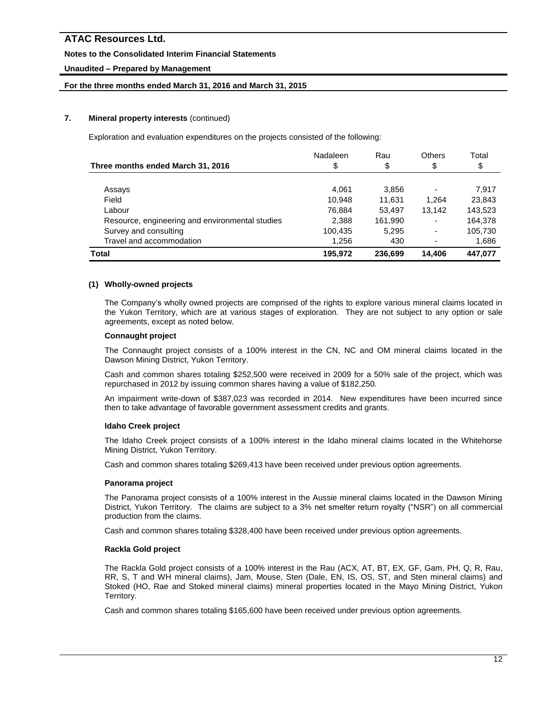### **Notes to the Consolidated Interim Financial Statements**

### **Unaudited – Prepared by Management**

### **For the three months ended March 31, 2016 and March 31, 2015**

### **7. Mineral property interests** (continued)

Exploration and evaluation expenditures on the projects consisted of the following:

|                                                 | Nadaleen | Rau     | Others | Total   |
|-------------------------------------------------|----------|---------|--------|---------|
| Three months ended March 31, 2016               | \$       | \$      | \$     | \$      |
|                                                 |          |         |        |         |
| Assays                                          | 4,061    | 3,856   |        | 7.917   |
| Field                                           | 10.948   | 11.631  | 1.264  | 23,843  |
| Labour                                          | 76,884   | 53.497  | 13,142 | 143,523 |
| Resource, engineering and environmental studies | 2,388    | 161,990 |        | 164,378 |
| Survey and consulting                           | 100,435  | 5,295   |        | 105,730 |
| Travel and accommodation                        | 1,256    | 430     |        | 1,686   |
| <b>Total</b>                                    | 195,972  | 236,699 | 14,406 | 447.077 |

### **(1) Wholly-owned projects**

The Company's wholly owned projects are comprised of the rights to explore various mineral claims located in the Yukon Territory, which are at various stages of exploration. They are not subject to any option or sale agreements, except as noted below.

### **Connaught project**

The Connaught project consists of a 100% interest in the CN, NC and OM mineral claims located in the Dawson Mining District, Yukon Territory.

Cash and common shares totaling \$252,500 were received in 2009 for a 50% sale of the project, which was repurchased in 2012 by issuing common shares having a value of \$182,250.

An impairment write-down of \$387,023 was recorded in 2014. New expenditures have been incurred since then to take advantage of favorable government assessment credits and grants.

### **Idaho Creek project**

The Idaho Creek project consists of a 100% interest in the Idaho mineral claims located in the Whitehorse Mining District, Yukon Territory.

Cash and common shares totaling \$269,413 have been received under previous option agreements.

### **Panorama project**

The Panorama project consists of a 100% interest in the Aussie mineral claims located in the Dawson Mining District, Yukon Territory. The claims are subject to a 3% net smelter return royalty ("NSR") on all commercial production from the claims.

Cash and common shares totaling \$328,400 have been received under previous option agreements.

### **Rackla Gold project**

The Rackla Gold project consists of a 100% interest in the Rau (ACX, AT, BT, EX, GF, Gam, PH, Q, R, Rau, RR, S, T and WH mineral claims), Jam, Mouse, Sten (Dale, EN, IS, OS, ST, and Sten mineral claims) and Stoked (HO, Rae and Stoked mineral claims) mineral properties located in the Mayo Mining District, Yukon Territory.

Cash and common shares totaling \$165,600 have been received under previous option agreements.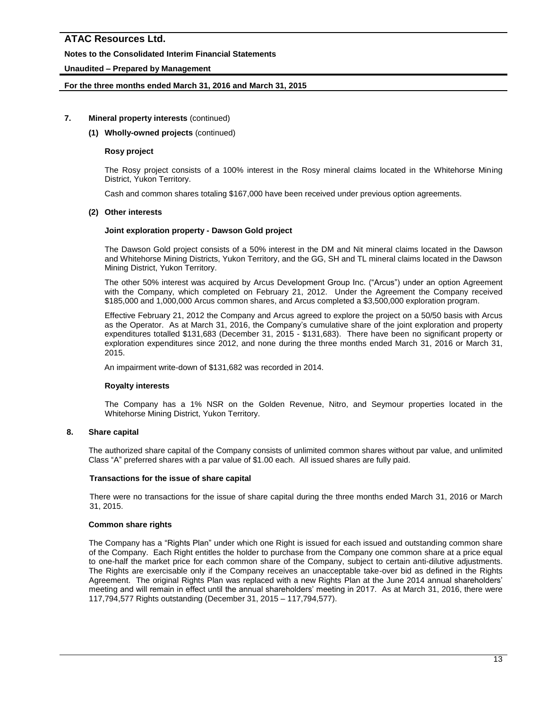### **Notes to the Consolidated Interim Financial Statements**

### **Unaudited – Prepared by Management**

### **For the three months ended March 31, 2016 and March 31, 2015**

### **7. Mineral property interests** (continued)

### **(1) Wholly-owned projects** (continued)

### **Rosy project**

The Rosy project consists of a 100% interest in the Rosy mineral claims located in the Whitehorse Mining District, Yukon Territory.

Cash and common shares totaling \$167,000 have been received under previous option agreements.

### **(2) Other interests**

### **Joint exploration property - Dawson Gold project**

The Dawson Gold project consists of a 50% interest in the DM and Nit mineral claims located in the Dawson and Whitehorse Mining Districts, Yukon Territory, and the GG, SH and TL mineral claims located in the Dawson Mining District, Yukon Territory.

The other 50% interest was acquired by Arcus Development Group Inc. ("Arcus") under an option Agreement with the Company, which completed on February 21, 2012. Under the Agreement the Company received \$185,000 and 1,000,000 Arcus common shares, and Arcus completed a \$3,500,000 exploration program.

Effective February 21, 2012 the Company and Arcus agreed to explore the project on a 50/50 basis with Arcus as the Operator. As at March 31, 2016, the Company's cumulative share of the joint exploration and property expenditures totalled \$131,683 (December 31, 2015 - \$131,683). There have been no significant property or exploration expenditures since 2012, and none during the three months ended March 31, 2016 or March 31, 2015.

An impairment write-down of \$131,682 was recorded in 2014.

### **Royalty interests**

The Company has a 1% NSR on the Golden Revenue, Nitro, and Seymour properties located in the Whitehorse Mining District, Yukon Territory.

### **8. Share capital**

The authorized share capital of the Company consists of unlimited common shares without par value, and unlimited Class "A" preferred shares with a par value of \$1.00 each. All issued shares are fully paid.

### **Transactions for the issue of share capital**

There were no transactions for the issue of share capital during the three months ended March 31, 2016 or March 31, 2015.

### **Common share rights**

The Company has a "Rights Plan" under which one Right is issued for each issued and outstanding common share of the Company. Each Right entitles the holder to purchase from the Company one common share at a price equal to one-half the market price for each common share of the Company, subject to certain anti-dilutive adjustments. The Rights are exercisable only if the Company receives an unacceptable take-over bid as defined in the Rights Agreement. The original Rights Plan was replaced with a new Rights Plan at the June 2014 annual shareholders' meeting and will remain in effect until the annual shareholders' meeting in 2017. As at March 31, 2016, there were 117,794,577 Rights outstanding (December 31, 2015 – 117,794,577).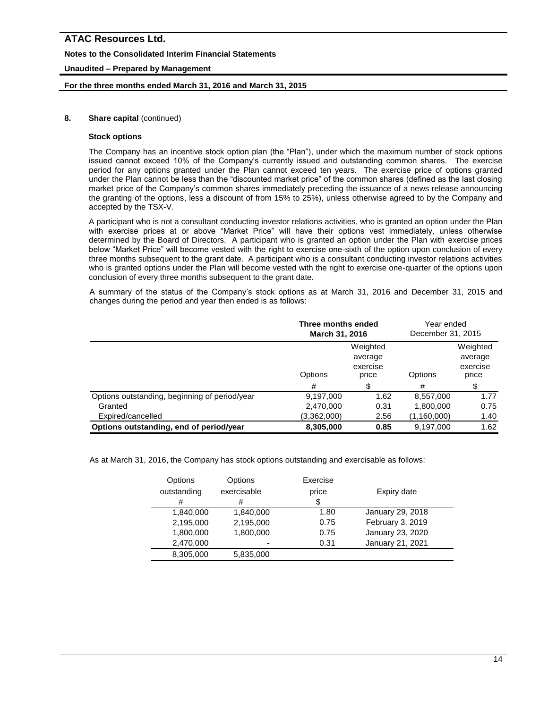### **Notes to the Consolidated Interim Financial Statements**

### **Unaudited – Prepared by Management**

### **For the three months ended March 31, 2016 and March 31, 2015**

### **8.** Share capital (continued)

### **Stock options**

The Company has an incentive stock option plan (the "Plan"), under which the maximum number of stock options issued cannot exceed 10% of the Company's currently issued and outstanding common shares. The exercise period for any options granted under the Plan cannot exceed ten years. The exercise price of options granted under the Plan cannot be less than the "discounted market price" of the common shares (defined as the last closing market price of the Company's common shares immediately preceding the issuance of a news release announcing the granting of the options, less a discount of from 15% to 25%), unless otherwise agreed to by the Company and accepted by the TSX-V.

A participant who is not a consultant conducting investor relations activities, who is granted an option under the Plan with exercise prices at or above "Market Price" will have their options vest immediately, unless otherwise determined by the Board of Directors. A participant who is granted an option under the Plan with exercise prices below "Market Price" will become vested with the right to exercise one-sixth of the option upon conclusion of every three months subsequent to the grant date. A participant who is a consultant conducting investor relations activities who is granted options under the Plan will become vested with the right to exercise one-quarter of the options upon conclusion of every three months subsequent to the grant date.

A summary of the status of the Company's stock options as at March 31, 2016 and December 31, 2015 and changes during the period and year then ended is as follows:

|                                               | Three months ended<br>March 31, 2016                |      | Year ended<br>December 31, 2015 |                                          |
|-----------------------------------------------|-----------------------------------------------------|------|---------------------------------|------------------------------------------|
|                                               | Weighted<br>average<br>exercise<br>Options<br>price |      | Options                         | Weighted<br>average<br>exercise<br>price |
|                                               | #                                                   | \$   | #                               | \$                                       |
| Options outstanding, beginning of period/year | 9,197,000                                           | 1.62 | 8,557,000                       | 1.77                                     |
| Granted                                       | 2,470,000                                           | 0.31 | 1,800,000                       | 0.75                                     |
| Expired/cancelled                             | (3,362,000)                                         | 2.56 | (1,160,000)                     | 1.40                                     |
| Options outstanding, end of period/year       | 8,305,000                                           | 0.85 | 9,197,000                       | 1.62                                     |

As at March 31, 2016, the Company has stock options outstanding and exercisable as follows:

| Options     | Options     | Exercise |                  |
|-------------|-------------|----------|------------------|
| outstanding | exercisable | price    | Expiry date      |
| #           | #           | \$       |                  |
| 1,840,000   | 1,840,000   | 1.80     | January 29, 2018 |
| 2,195,000   | 2,195,000   | 0.75     | February 3, 2019 |
| 1,800,000   | 1,800,000   | 0.75     | January 23, 2020 |
| 2,470,000   | -           | 0.31     | January 21, 2021 |
| 8,305,000   | 5,835,000   |          |                  |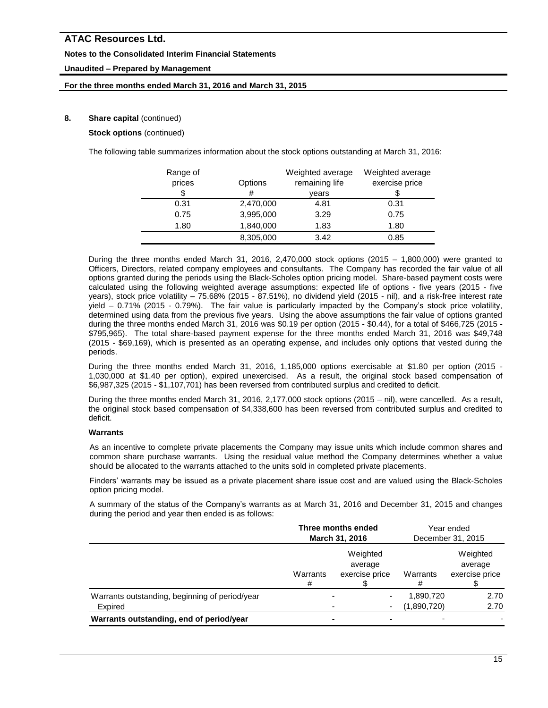### **Notes to the Consolidated Interim Financial Statements**

### **Unaudited – Prepared by Management**

### **For the three months ended March 31, 2016 and March 31, 2015**

### **8.** Share capital (continued)

**Stock options** (continued)

The following table summarizes information about the stock options outstanding at March 31, 2016:

| Range of<br>prices | Options   | Weighted average<br>remaining life | Weighted average<br>exercise price |
|--------------------|-----------|------------------------------------|------------------------------------|
| \$                 | #         | years                              |                                    |
| 0.31               | 2,470,000 | 4.81                               | 0.31                               |
| 0.75               | 3,995,000 | 3.29                               | 0.75                               |
| 1.80               | 1,840,000 | 1.83                               | 1.80                               |
|                    | 8,305,000 | 3.42                               | 0.85                               |

During the three months ended March 31, 2016, 2,470,000 stock options (2015 – 1,800,000) were granted to Officers, Directors, related company employees and consultants. The Company has recorded the fair value of all options granted during the periods using the Black-Scholes option pricing model. Share-based payment costs were calculated using the following weighted average assumptions: expected life of options - five years (2015 - five years), stock price volatility – 75.68% (2015 - 87.51%), no dividend yield (2015 - nil), and a risk-free interest rate yield – 0.71% (2015 - 0.79%). The fair value is particularly impacted by the Company's stock price volatility, determined using data from the previous five years. Using the above assumptions the fair value of options granted during the three months ended March 31, 2016 was \$0.19 per option (2015 - \$0.44), for a total of \$466,725 (2015 - \$795,965). The total share-based payment expense for the three months ended March 31, 2016 was \$49,748 (2015 - \$69,169), which is presented as an operating expense, and includes only options that vested during the periods.

During the three months ended March 31, 2016, 1,185,000 options exercisable at \$1.80 per option (2015 - 1,030,000 at \$1.40 per option), expired unexercised. As a result, the original stock based compensation of \$6,987,325 (2015 - \$1,107,701) has been reversed from contributed surplus and credited to deficit.

During the three months ended March 31, 2016, 2,177,000 stock options (2015 – nil), were cancelled. As a result, the original stock based compensation of \$4,338,600 has been reversed from contributed surplus and credited to deficit.

### **Warrants**

As an incentive to complete private placements the Company may issue units which include common shares and common share purchase warrants. Using the residual value method the Company determines whether a value should be allocated to the warrants attached to the units sold in completed private placements.

Finders' warrants may be issued as a private placement share issue cost and are valued using the Black-Scholes option pricing model.

A summary of the status of the Company's warrants as at March 31, 2016 and December 31, 2015 and changes during the period and year then ended is as follows:

|                                                           | Three months ended<br>March 31, 2016 |                                       | Year ended<br>December 31, 2015 |                                       |
|-----------------------------------------------------------|--------------------------------------|---------------------------------------|---------------------------------|---------------------------------------|
|                                                           | Warrants<br>#                        | Weighted<br>average<br>exercise price | Warrants                        | Weighted<br>average<br>exercise price |
| Warrants outstanding, beginning of period/year<br>Expired |                                      | ٠                                     | 1,890,720<br>(1,890,720)        | 2.70<br>2.70                          |
| Warrants outstanding, end of period/year                  |                                      |                                       |                                 |                                       |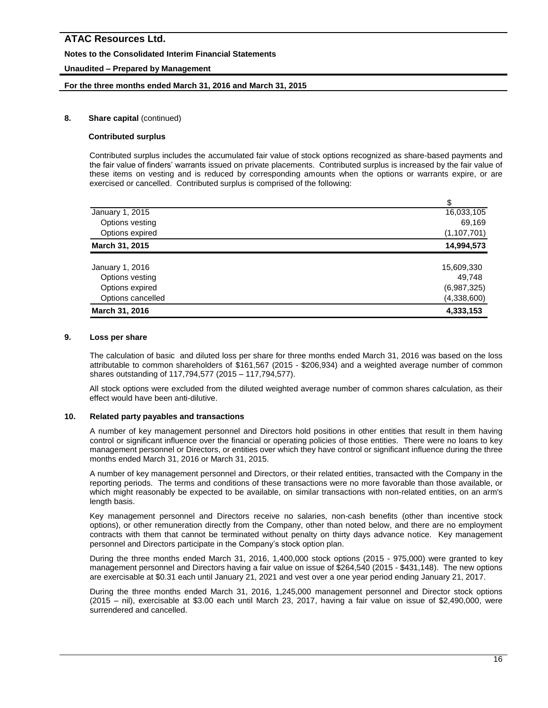### **Notes to the Consolidated Interim Financial Statements**

### **Unaudited – Prepared by Management**

### **For the three months ended March 31, 2016 and March 31, 2015**

### **8.** Share capital (continued)

#### **Contributed surplus**

Contributed surplus includes the accumulated fair value of stock options recognized as share-based payments and the fair value of finders' warrants issued on private placements. Contributed surplus is increased by the fair value of these items on vesting and is reduced by corresponding amounts when the options or warrants expire, or are exercised or cancelled. Contributed surplus is comprised of the following:

|                   | \$            |
|-------------------|---------------|
| January 1, 2015   | 16,033,105    |
| Options vesting   | 69,169        |
| Options expired   | (1, 107, 701) |
| March 31, 2015    | 14,994,573    |
| January 1, 2016   | 15,609,330    |
| Options vesting   | 49,748        |
| Options expired   | (6,987,325)   |
| Options cancelled | (4,338,600)   |
| March 31, 2016    | 4,333,153     |

#### **9. Loss per share**

The calculation of basic and diluted loss per share for three months ended March 31, 2016 was based on the loss attributable to common shareholders of \$161,567 (2015 - \$206,934) and a weighted average number of common shares outstanding of 117,794,577 (2015 – 117,794,577).

All stock options were excluded from the diluted weighted average number of common shares calculation, as their effect would have been anti-dilutive.

### **10. Related party payables and transactions**

A number of key management personnel and Directors hold positions in other entities that result in them having control or significant influence over the financial or operating policies of those entities. There were no loans to key management personnel or Directors, or entities over which they have control or significant influence during the three months ended March 31, 2016 or March 31, 2015.

A number of key management personnel and Directors, or their related entities, transacted with the Company in the reporting periods. The terms and conditions of these transactions were no more favorable than those available, or which might reasonably be expected to be available, on similar transactions with non-related entities, on an arm's length basis.

Key management personnel and Directors receive no salaries, non-cash benefits (other than incentive stock options), or other remuneration directly from the Company, other than noted below, and there are no employment contracts with them that cannot be terminated without penalty on thirty days advance notice. Key management personnel and Directors participate in the Company's stock option plan.

During the three months ended March 31, 2016, 1,400,000 stock options (2015 - 975,000) were granted to key management personnel and Directors having a fair value on issue of \$264,540 (2015 - \$431,148). The new options are exercisable at \$0.31 each until January 21, 2021 and vest over a one year period ending January 21, 2017.

During the three months ended March 31, 2016, 1,245,000 management personnel and Director stock options (2015 – nil), exercisable at \$3.00 each until March 23, 2017, having a fair value on issue of \$2,490,000, were surrendered and cancelled.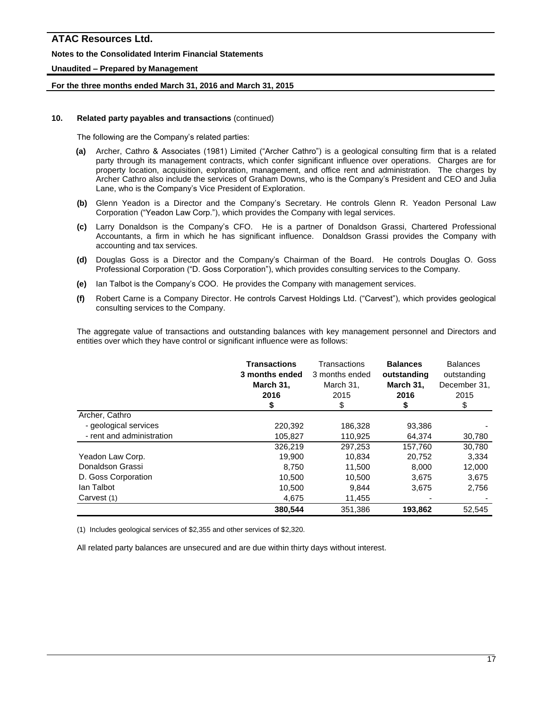### **Notes to the Consolidated Interim Financial Statements**

### **Unaudited – Prepared by Management**

### **For the three months ended March 31, 2016 and March 31, 2015**

### **10. Related party payables and transactions** (continued)

The following are the Company's related parties:

- **(a)** Archer, Cathro & Associates (1981) Limited ("Archer Cathro") is a geological consulting firm that is a related party through its management contracts, which confer significant influence over operations. Charges are for property location, acquisition, exploration, management, and office rent and administration. The charges by Archer Cathro also include the services of Graham Downs, who is the Company's President and CEO and Julia Lane, who is the Company's Vice President of Exploration.
- **(b)** Glenn Yeadon is a Director and the Company's Secretary. He controls Glenn R. Yeadon Personal Law Corporation ("Yeadon Law Corp."), which provides the Company with legal services.
- **(c)** Larry Donaldson is the Company's CFO. He is a partner of Donaldson Grassi, Chartered Professional Accountants, a firm in which he has significant influence. Donaldson Grassi provides the Company with accounting and tax services.
- **(d)** Douglas Goss is a Director and the Company's Chairman of the Board. He controls Douglas O. Goss Professional Corporation ("D. Goss Corporation"), which provides consulting services to the Company.
- **(e)** Ian Talbot is the Company's COO. He provides the Company with management services.
- **(f)** Robert Carne is a Company Director. He controls Carvest Holdings Ltd. ("Carvest"), which provides geological consulting services to the Company.

The aggregate value of transactions and outstanding balances with key management personnel and Directors and entities over which they have control or significant influence were as follows:

|                           | <b>Transactions</b><br>3 months ended<br>March 31,<br>2016<br>\$ | Transactions<br>3 months ended<br>March 31,<br>2015<br>\$ | <b>Balances</b><br>outstanding<br>March 31,<br>2016 | <b>Balances</b><br>outstanding<br>December 31,<br>2015<br>\$ |
|---------------------------|------------------------------------------------------------------|-----------------------------------------------------------|-----------------------------------------------------|--------------------------------------------------------------|
| Archer, Cathro            |                                                                  |                                                           |                                                     |                                                              |
| - geological services     | 220,392                                                          | 186,328                                                   | 93,386                                              |                                                              |
| - rent and administration | 105,827                                                          | 110,925                                                   | 64,374                                              | 30,780                                                       |
|                           | 326,219                                                          | 297,253                                                   | 157.760                                             | 30,780                                                       |
| Yeadon Law Corp.          | 19,900                                                           | 10,834                                                    | 20,752                                              | 3,334                                                        |
| Donaldson Grassi          | 8.750                                                            | 11.500                                                    | 8.000                                               | 12,000                                                       |
| D. Goss Corporation       | 10,500                                                           | 10,500                                                    | 3,675                                               | 3,675                                                        |
| lan Talbot                | 10,500                                                           | 9,844                                                     | 3,675                                               | 2,756                                                        |
| Carvest (1)               | 4,675                                                            | 11,455                                                    |                                                     |                                                              |
|                           | 380.544                                                          | 351.386                                                   | 193.862                                             | 52.545                                                       |

(1) Includes geological services of \$2,355 and other services of \$2,320.

All related party balances are unsecured and are due within thirty days without interest.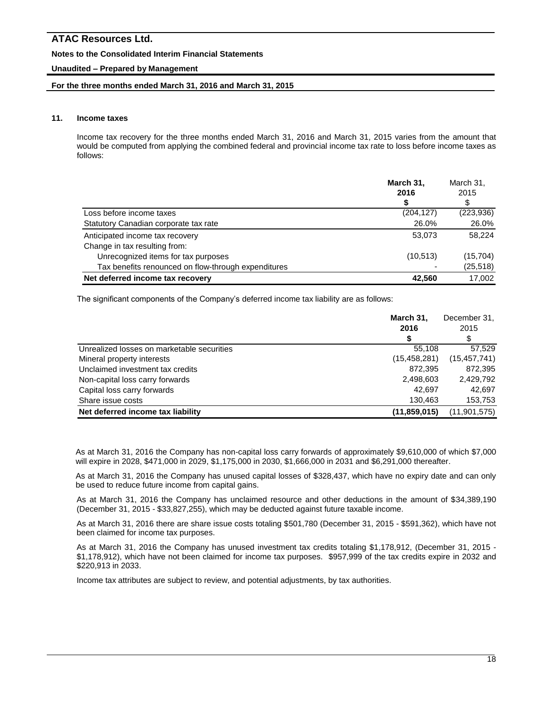### **Notes to the Consolidated Interim Financial Statements**

### **Unaudited – Prepared by Management**

### **For the three months ended March 31, 2016 and March 31, 2015**

### **11. Income taxes**

Income tax recovery for the three months ended March 31, 2016 and March 31, 2015 varies from the amount that would be computed from applying the combined federal and provincial income tax rate to loss before income taxes as follows:

|                                                     | March 31,<br>2016 | March 31.<br>2015 |
|-----------------------------------------------------|-------------------|-------------------|
|                                                     | S                 | \$                |
| Loss before income taxes                            | (204, 127)        | (223, 936)        |
| Statutory Canadian corporate tax rate               | 26.0%             | 26.0%             |
| Anticipated income tax recovery                     | 53,073            | 58,224            |
| Change in tax resulting from:                       |                   |                   |
| Unrecognized items for tax purposes                 | (10, 513)         | (15, 704)         |
| Tax benefits renounced on flow-through expenditures |                   | (25, 518)         |
| Net deferred income tax recovery                    | 42.560            | 17.002            |

The significant components of the Company's deferred income tax liability are as follows:

|                                            | March 31,<br>2016 | December 31,<br>2015<br>\$ |
|--------------------------------------------|-------------------|----------------------------|
| Unrealized losses on marketable securities | 55.108            | 57,529                     |
| Mineral property interests                 | (15, 458, 281)    | (15, 457, 741)             |
| Unclaimed investment tax credits           | 872.395           | 872.395                    |
| Non-capital loss carry forwards            | 2,498,603         | 2,429,792                  |
| Capital loss carry forwards                | 42.697            | 42.697                     |
| Share issue costs                          | 130.463           | 153,753                    |
| Net deferred income tax liability          | (11, 859, 015)    | (11,901,575)               |

As at March 31, 2016 the Company has non-capital loss carry forwards of approximately \$9,610,000 of which \$7,000 will expire in 2028, \$471,000 in 2029, \$1,175,000 in 2030, \$1,666,000 in 2031 and \$6,291,000 thereafter.

As at March 31, 2016 the Company has unused capital losses of \$328,437, which have no expiry date and can only be used to reduce future income from capital gains.

As at March 31, 2016 the Company has unclaimed resource and other deductions in the amount of \$34,389,190 (December 31, 2015 - \$33,827,255), which may be deducted against future taxable income.

As at March 31, 2016 there are share issue costs totaling \$501,780 (December 31, 2015 - \$591,362), which have not been claimed for income tax purposes.

As at March 31, 2016 the Company has unused investment tax credits totaling \$1,178,912, (December 31, 2015 - \$1,178,912), which have not been claimed for income tax purposes. \$957,999 of the tax credits expire in 2032 and \$220,913 in 2033.

Income tax attributes are subject to review, and potential adjustments, by tax authorities.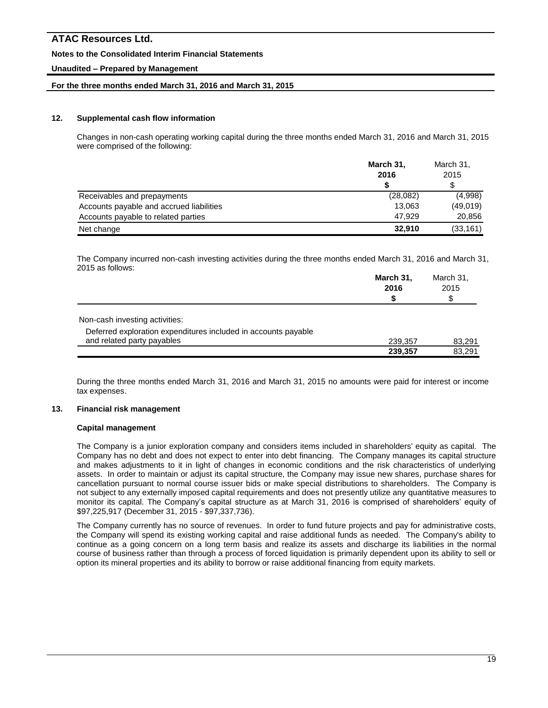### **Notes to the Consolidated Interim Financial Statements**

# **Unaudited – Prepared by Management**

### **For the three months ended March 31, 2016 and March 31, 2015**

### **12. Supplemental cash flow information**

Changes in non-cash operating working capital during the three months ended March 31, 2016 and March 31, 2015 were comprised of the following:

|                                          | March 31,<br>2016 | March 31,<br>2015 |
|------------------------------------------|-------------------|-------------------|
|                                          |                   | \$                |
| Receivables and prepayments              | (28,082)          | (4,998)           |
| Accounts payable and accrued liabilities | 13.063            | (49,019)          |
| Accounts payable to related parties      | 47.929            | 20,856            |
| Net change                               | 32.910            | (33, 161)         |

The Company incurred non-cash investing activities during the three months ended March 31, 2016 and March 31, 2015 as follows:

|                                                                                              | March 31,<br>2016 | March 31,<br>2015<br>\$ |
|----------------------------------------------------------------------------------------------|-------------------|-------------------------|
| Non-cash investing activities:                                                               |                   |                         |
| Deferred exploration expenditures included in accounts payable<br>and related party payables | 239,357           | 83,291                  |
|                                                                                              | 239,357           | 83.291                  |

During the three months ended March 31, 2016 and March 31, 2015 no amounts were paid for interest or income tax expenses.

### **13. Financial risk management**

#### **Capital management**

The Company is a junior exploration company and considers items included in shareholders' equity as capital. The Company has no debt and does not expect to enter into debt financing. The Company manages its capital structure and makes adjustments to it in light of changes in economic conditions and the risk characteristics of underlying assets. In order to maintain or adjust its capital structure, the Company may issue new shares, purchase shares for cancellation pursuant to normal course issuer bids or make special distributions to shareholders. The Company is not subject to any externally imposed capital requirements and does not presently utilize any quantitative measures to monitor its capital. The Company's capital structure as at March 31, 2016 is comprised of shareholders' equity of \$97,225,917 (December 31, 2015 - \$97,337,736).

The Company currently has no source of revenues. In order to fund future projects and pay for administrative costs, the Company will spend its existing working capital and raise additional funds as needed. The Company's ability to continue as a going concern on a long term basis and realize its assets and discharge its liabilities in the normal course of business rather than through a process of forced liquidation is primarily dependent upon its ability to sell or option its mineral properties and its ability to borrow or raise additional financing from equity markets.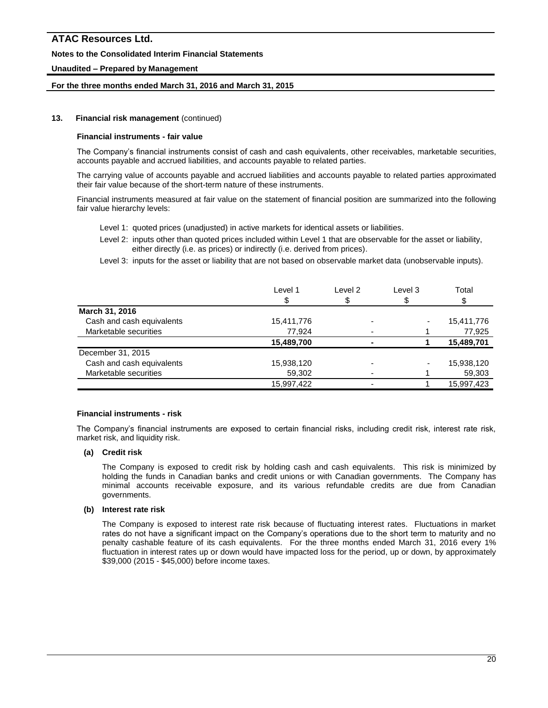### **Notes to the Consolidated Interim Financial Statements**

### **Unaudited – Prepared by Management**

### **For the three months ended March 31, 2016 and March 31, 2015**

#### **13. Financial risk management** (continued)

#### **Financial instruments - fair value**

The Company's financial instruments consist of cash and cash equivalents, other receivables, marketable securities, accounts payable and accrued liabilities, and accounts payable to related parties.

The carrying value of accounts payable and accrued liabilities and accounts payable to related parties approximated their fair value because of the short-term nature of these instruments.

Financial instruments measured at fair value on the statement of financial position are summarized into the following fair value hierarchy levels:

- Level 1: quoted prices (unadjusted) in active markets for identical assets or liabilities.
- Level 2: inputs other than quoted prices included within Level 1 that are observable for the asset or liability, either directly (i.e. as prices) or indirectly (i.e. derived from prices).
- Level 3: inputs for the asset or liability that are not based on observable market data (unobservable inputs).

| Level 1    | Level 2 | Level 3 | Total      |
|------------|---------|---------|------------|
|            | S       |         |            |
|            |         |         |            |
| 15,411,776 |         |         | 15,411,776 |
| 77,924     |         |         | 77,925     |
| 15,489,700 |         |         | 15,489,701 |
|            |         |         |            |
| 15,938,120 |         |         | 15,938,120 |
| 59,302     |         |         | 59,303     |
| 15,997,422 |         |         | 15.997.423 |
|            |         |         |            |

#### **Financial instruments - risk**

The Company's financial instruments are exposed to certain financial risks, including credit risk, interest rate risk, market risk, and liquidity risk.

### **(a) Credit risk**

The Company is exposed to credit risk by holding cash and cash equivalents. This risk is minimized by holding the funds in Canadian banks and credit unions or with Canadian governments. The Company has minimal accounts receivable exposure, and its various refundable credits are due from Canadian governments.

### **(b) Interest rate risk**

The Company is exposed to interest rate risk because of fluctuating interest rates. Fluctuations in market rates do not have a significant impact on the Company's operations due to the short term to maturity and no penalty cashable feature of its cash equivalents. For the three months ended March 31, 2016 every 1% fluctuation in interest rates up or down would have impacted loss for the period, up or down, by approximately \$39,000 (2015 - \$45,000) before income taxes.